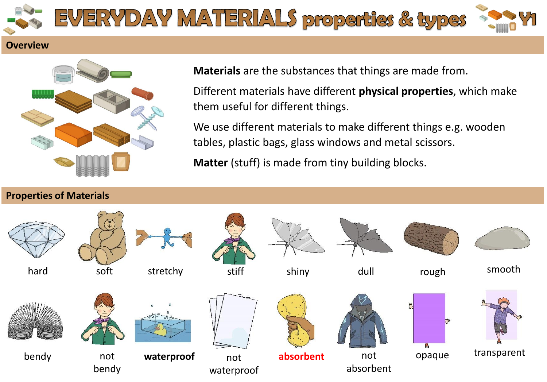

## **Overview**



**Materials** are the substances that things are made from.

Different materials have different **physical properties**, which make them useful for different things.

We use different materials to make different things e.g. wooden tables, plastic bags, glass windows and metal scissors.

**Matter** (stuff) is made from tiny building blocks.

## **Properties of Materials**

















bendy not



bendy



**waterproof** not waterproof



**absorbent** not



absorbent





opaque transparent